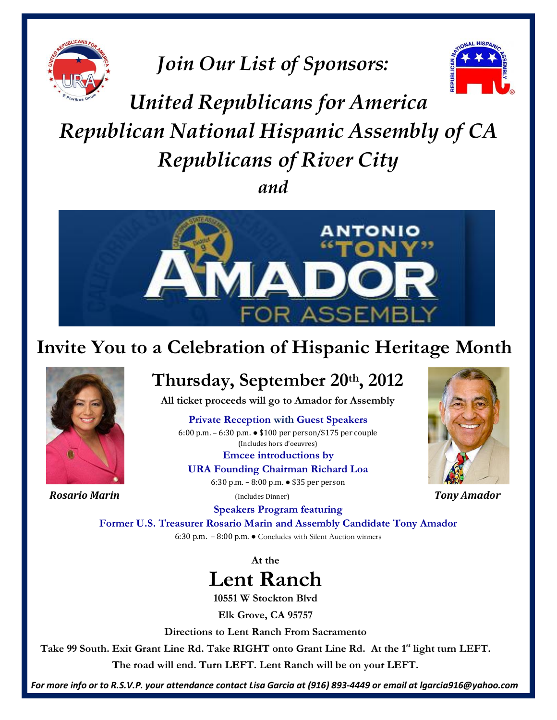

*Join Our List of Sponsors:* 



## *United Republicans for America Republican National Hispanic Assembly of CA Republicans of River City and*



## **Invite You to a Celebration of Hispanic Heritage Month**



*Rosario Marin* (Includes Dinner) *Tony Amador*

## **Thursday, September 20th, 2012**

**All ticket proceeds will go to Amador for Assembly**

**Private Reception with Guest Speakers**  $\frac{1}{2}$  (Includes hors d'oeuvres) 6:00 p.m. – 6:30 p.m. ● \$100 per person/\$175 per couple

> **Emcee introductions by**<br> **Emcee introductions by URA Founding Chairman Richard Loa** 6:30 p.m. – 8:00 p.m. ● \$35 per person



**Speakers Program featuring** 

**Former U.S. Treasurer Rosario Marin and Assembly Candidate Tony Amador** 6:30 p.m. – 8:00 p.m. ● Concludes with Silent Auction winners

**At the**



**10551 W Stockton Blvd**

**Elk Grove, CA 95757**

**Directions to Lent Ranch From Sacramento**

**Take 99 South. Exit Grant Line Rd. Take RIGHT onto Grant Line Rd. At the 1st light turn LEFT.**

**The road will end. Turn LEFT. Lent Ranch will be on your LEFT.**

*For more info or to R.S.V.P. your attendance contact Lisa Garcia at (916) 893-4449 or email at lgarcia916@yahoo.com*